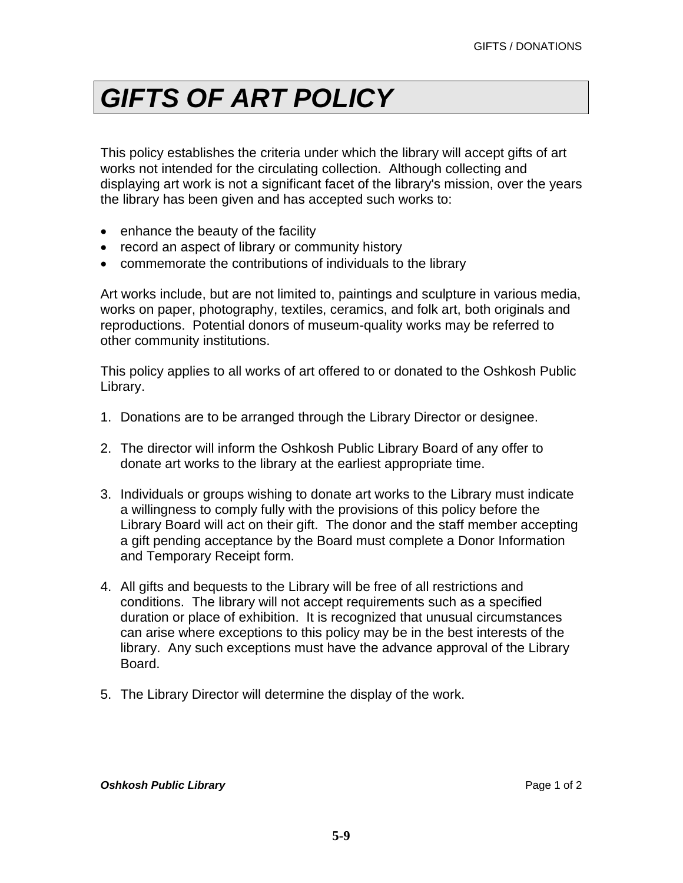## *GIFTS OF ART POLICY*

This policy establishes the criteria under which the library will accept gifts of art works not intended for the circulating collection. Although collecting and displaying art work is not a significant facet of the library's mission, over the years the library has been given and has accepted such works to:

- enhance the beauty of the facility
- record an aspect of library or community history
- commemorate the contributions of individuals to the library

Art works include, but are not limited to, paintings and sculpture in various media, works on paper, photography, textiles, ceramics, and folk art, both originals and reproductions. Potential donors of museum-quality works may be referred to other community institutions.

This policy applies to all works of art offered to or donated to the Oshkosh Public Library.

- 1. Donations are to be arranged through the Library Director or designee.
- 2. The director will inform the Oshkosh Public Library Board of any offer to donate art works to the library at the earliest appropriate time.
- 3. Individuals or groups wishing to donate art works to the Library must indicate a willingness to comply fully with the provisions of this policy before the Library Board will act on their gift. The donor and the staff member accepting a gift pending acceptance by the Board must complete a Donor Information and Temporary Receipt form.
- 4. All gifts and bequests to the Library will be free of all restrictions and conditions. The library will not accept requirements such as a specified duration or place of exhibition. It is recognized that unusual circumstances can arise where exceptions to this policy may be in the best interests of the library. Any such exceptions must have the advance approval of the Library Board.
- 5. The Library Director will determine the display of the work.